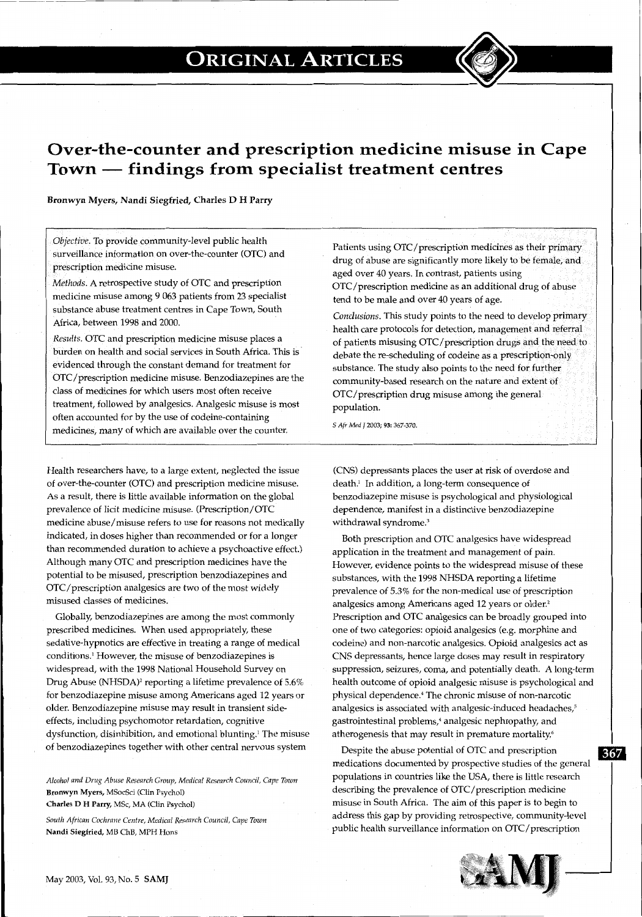r--- --~--- -----------------------------------------~---~ ----~



Bronwyn Myers, Nandi Siegfried, Charles D H Parry

*Objective.* To provide community-level public health surveillance information on over-the-counter (OTC) and prescription medicine misuse.

*Methods.* A retrospective study of OTC and prescription medicine misuse among 9 063 patients from 23 specialist substance abuse treatment centres in Cape Town, South Africa, between 1998 and 2000.

*Results.* OTC and prescription medicine misuse places a burden on health and social services in South Africa. This is· evidenced through the constant demand for treatment for OTC/prescription medicine misuse. Benzodiazepines are the class of medicines for which users most often receive treatment, followed by analgesics. Analgesic misuse is most often accounted for by the use of codeine-containing medicines, many of which are available over the counter.

Health researchers have, to a large extent, neglected the issue of over-the-counter (OTC) and prescription medicine misuse. As a result, there is little available information on the global prevalence of licit medicine misuse. (Prescription/OTC medicine abuse/misuse refers to use for reasons not medically indicated, in doses higher than recommended or for a longer than recommended duration to achieve a psychoactive effect.) Although many OTC and prescription medicines have the potential to be misused, prescription benzodiazepines and OTC/prescription analgesics are two of the most widely misused classes of medicines.

Globally, benzodiazepines are among the most commonly prescribed medicines. When used appropriately, these sedative-hypnotics are effective in treating a range of medical conditions.' However, the misuse of benzodiazepines is widespread, with the 1998 National Household Survey on Drug Abuse (NHSDA)' reporting a lifetime prevalence of 5.6% for benzodiazepine misuse among Americans aged 12 years or older. Benzodiazepine misuse may result in transient sideeffects, including psychomotor retardation, cognitive dysfunction, disinhibition, and emotional blunting.' The misuse of benzodiazepines together with other central nervous system

*Alcohol and Drug Abuse Research Group, Medical Research Council, Cape Town*  Bronwyn Myers, MSocSci (Clin Psycho!)

Charles D H Parry, MSc, MA (Clin Psycho!)

*South African Cochrane Centre, Medical Research Council, Cape Town*  Nandi Siegfried, MB ChB, MPH Hons

Patients using OTC/prescription medicines as their primary drug of abuse are significantly more likely to be female, and aged over 40 years. In contrast, patients using OTC/prescription medicine as an additional drug of abuse tend to be male and over 40 years of age.

*Conclusions.* This study points to the need to develop primary health care protocols for detection, management and referral of patients misusing OTC/prescription drugs and the need to debate the re-scheduling of codeine as a prescription-only substance. The study also points to the need for further community-based research on the nature and extent of OTC/prescription drug misuse among the general population.

*5 Afr Med J* 2003; 93: 367-370.

(CNS) depressants places the user at risk of overdose and death.' In addition, a long-term consequence of benzodiazepine misuse is psychological and physiological dependence, manifest in a distinctive benzodiazepine withdrawal syndrome.'

Both prescription and OTC analgesics have widespread application in the treatment and management of pain. However, evidence points to the widespread misuse of these substances, with the 1998 NHSDA reporting a lifetime prevalence of 5.3% for the non-medical use of prescription analgesics among Americans aged 12 years or older.' Prescription and OTC analgesics can be broadly grouped into one of two categories: opioid analgesics (e.g. morphine and codeine) and non-narcotic analgesics. Opioid analgesics act as CNS depressants, hence large doses may result in respiratory suppression, seizures, coma, and potentially death. A long-term health outcome of opioid analgesic misuse is psychological and physical dependence.• The chronic misuse of non-narcotic analgesics is associated with analgesic-induced headaches,<sup>5</sup> gastrointestinal problems,' analgesic nephropathy, and atherogenesis that may result in premature mortality.'

Despite the abuse potential of OTC and prescription **1111** medications documented by prospective studies of the general populations in countries like the USA, there is little research describing the prevalence of OTC/prescription medicine misuse in South Africa. The aim of this paper is to begin to address this gap by providing retrospective, community-level public health surveillance information on OTC/prescription

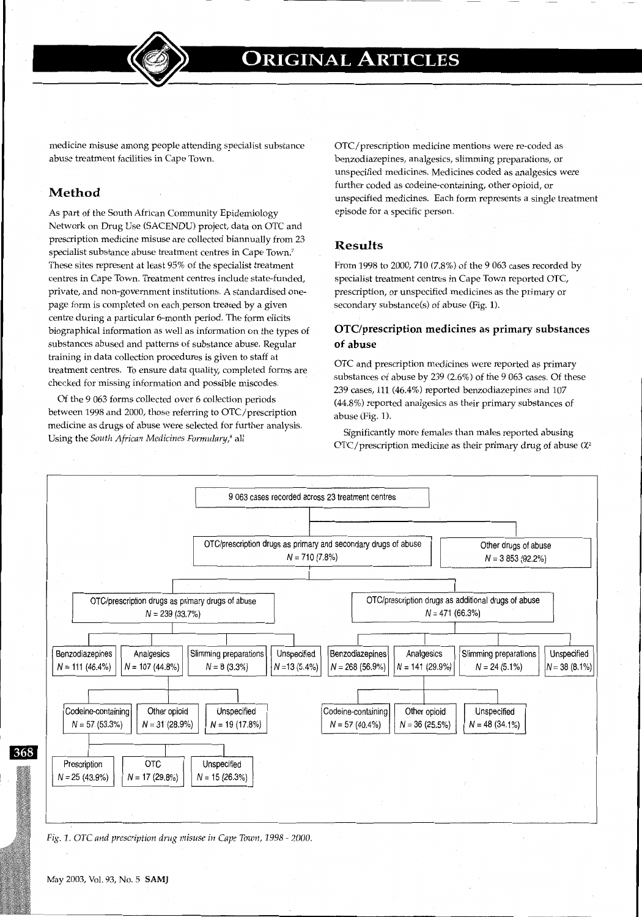

medicine misuse among people attending specialist substance abuse treatment facilities in Cape Town.

**r---------------------------------------------------------------------------** -----

## **Method**

As part of the South African Community Epidemiology Network on Drug Use (SACENDU) project, data on OTC and prescription medicine misuse are collected biannually from 23 specialist substance abuse treatment centres in Cape Town.' These sites represent at least 95% of the specialist treatment centres in Cape Town. Treatment centres include state-funded, private, and non-government institutions. A standardised onepage form is completed on each person treated by a given centre during a particular 6-month period. The form elicits biographical information as well as information on the types of substances abused and patterns of substance abuse. Regular training in data collection procedures is given to staff at treatment centres. To ensure data quality, completed forms are checked for missing information and possible miscodes.

Of the 9 063 forms collected over 6 collection periods between 1998 and 2000, those referring to OTC/prescription medicine as drugs of abuse were selected for further analysis. Using the *South African Medicines Formulary,'* all

OTC/prescription medicine mentions were re-coded as benzodiazepines, analgesics, slimming preparations, or unspecified medicines. Medicines coded as analgesics were further coded as codeine-containing, other opioid, or unspecified medicines. Each form represents a single treatment episode for a specific person.

#### **Results**

From 1998 to 2000, 710 (7.8%) of the 9 063 cases recorded by specialist treatment centres in Cape Town reported OTC, prescription, or unspecified medicines as the primary or secondary substance(s) of abuse (Fig. 1).

#### **OTC/prescription medicines as primary substances of abuse**

OTC and prescription medicines were reported as primary substances of abuse by 239 (2.6%) of the 9 063 cases. Of these 239 cases, 111 (46.4%) reported benzodiazepines and 107 (44.8%) reported analgesics as their primary substances of abuse (Fig. 1).

Significantly more females than males reported abusing  $OTC/p$ rescription medicine as their primary drug of abuse ( $\chi^2$ 



368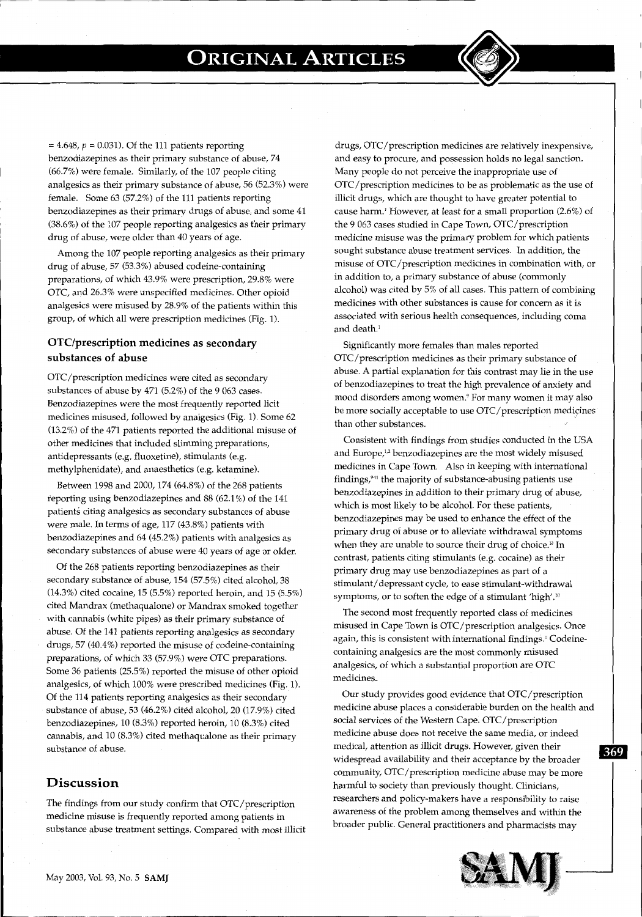$=4.648$ ,  $p = 0.031$ ). Of the 111 patients reporting benzodiazepines as their primary substance of abuse, 74 (66.7%) were female. Similarly, of the 107 people citing analgesics as their primary substance of abuse, 56 (52.3%) were female. Some 63 (57.2%) of the 111 patients reporting benzodiazepines as their primary drugs of abuse, and some 41 (38.6%) of the 107 people reporting analgesics as their primary drug of abuse, were older than 40 years of age.

Among the 107 people reporting analgesics as their primary drug of abuse, 57 (53.3%) abused codeine-containing preparations, of which 43.9% were prescription, 29.8% were OTC, and 26.3% were unspecified medicines. Other opioid analgesics were misused by 28.9% of the patients within this group, of which all were prescription medicines (Fig. 1).

## **OTC/prescription medicines as secondary substances of abuse**

OTC/prescription medicines were cited as secondary substances of abuse by 471 (5.2%) of the 9 063 cases. Benzodiazepines were the most frequently reported licit medicines misused, followed by analgesics (Fig. 1). Some 62 (13.2%) of the 471 patients reported the additional misuse of other medicines that included slimming preparations, antidepressants (e.g. fluoxetine), stimulants (e.g. methylphenidate), and anaesthetics (e.g. ketamine).

Between 1998 and 2000, 174 (64.8%) of the 268 patients reporting using benzodiazepines and 88 (62.1%) of the 141 patients citing analgesics as secondary substances of abuse were male. In terms of age, 117 (43.8%) patients with benzodiazepines and 64 (45.2%) patients with analgesics as secondary substances of abuse were 40 years of age or older.

Of the 268 patients reporting benzodiazepines as their secondary substance of abuse, 154 (57.5%) cited alcohol, 38 (14.3%) cited cocaine, 15 (5.5%) reported heroin, and 15 (5.5%) cited Mandrax (methaqualone) or Mandrax smoked together with cannabis (white pipes) as their primary substance of abuse. Of the 141 patients reporting analgesics as secondary drugs, 57 (40.4%) reported the misuse of codeine-containing preparations, of which 33 (57.9%) were OTC preparations. Some 36 patients (25.5%) reported the misuse of other opioid analgesics, of which 100% were prescribed medicines (Fig. 1). Of the 114 patients reporting analgesics as their secondary substance of abuse, 53 (46.2%) cited alcohol, 20 (17.9%) cited benzodiazepines, 10 (8.3%) reported heroin, 10 (8.3%) cited cannabis, and 10 (8.3%) cited methaqualone as their primary substance of abuse.

#### **Discussion**

The findings from our study confirm that OTC/prescription medicine misuse is frequently reported among patients in substance abuse treatment settings. Compared with most illicit drugs, OTC/prescription medicines are relatively inexpensive, and easy to procure, and possession holds no legal sanction. Many people do not perceive the inappropriate use of OTC/prescription medicines to be as problematic as the use of illicit drugs, which are thought to have greater potential to cause harm.' However, at least for a small proportion (2.6%) of the 9 063 cases studied in Cape Town, OTC/prescription medicine misuse was the primary problem for which patients sought substance abuse treatment services. In addition, the misuse of OTC/prescription medicines in combination with, or in addition to, a primary substance of abuse (commonly alcohol) was cited by 5% of all cases. This pattern of combining medicines with other substances is cause for concern as it is associated with serious health consequences, including coma and death.'

Significantly more females than males reported OTC/prescription medicines as their primary substance of abuse. A partial explanation for this contrast may lie in the use of benzodiazepines to treat the high prevalence of anxiety and mood disorders among women.' For many women it may also be more socially acceptable to use OTC/prescription medicines than other substances.

Consistent with findings from studies conducted in the USA and Europe,<sup>1,2</sup> benzodiazepines are the most widely misused medicines in Cape Town. Also in keeping with international findings,'·11 the majority of substance-abusing patients use benzodiazepines in addition to their primary drug of abuse, which is most likely to be alcohol. For these patients, benzodiazepines may be used to enhance the effect of the primary drug of abuse or to alleviate withdrawal symptoms when they are unable to source their drug of choice.<sup>10</sup> In contrast, patients citing stimulants (e.g. cocaine) as their primary drug may use benzodiazepines as part of a stimulant/ depressant cycle, to ease stimulant-withdrawal symptoms, or to soften the edge of a stimulant 'high'.<sup>10</sup>

The second most frequently reported class of medicines misused in Cape Town is OTC/prescription analgesics. Once again, this is consistent with international findings.' Codeinecontaining analgesics are the most commonly misused analgesics, of which a substantial proportion are OTC medicines.

Our study provides good evidence that OTC/prescription medicine abuse places a considerable burden on the health and social services of the Western Cape. OTC/prescription medicine abuse does not receive the same media, or indeed medical, attention as illicit drugs. However, given their  $\overline{369}$ widespread availability and their acceptance by the broader community, OTC/prescription medicine abuse may be more harmful to society than previously thought. Clinicians, researchers and policy-makers have a responsibility to raise awareness of the problem among themselves and within the broader public. General practitioners and pharmacists may